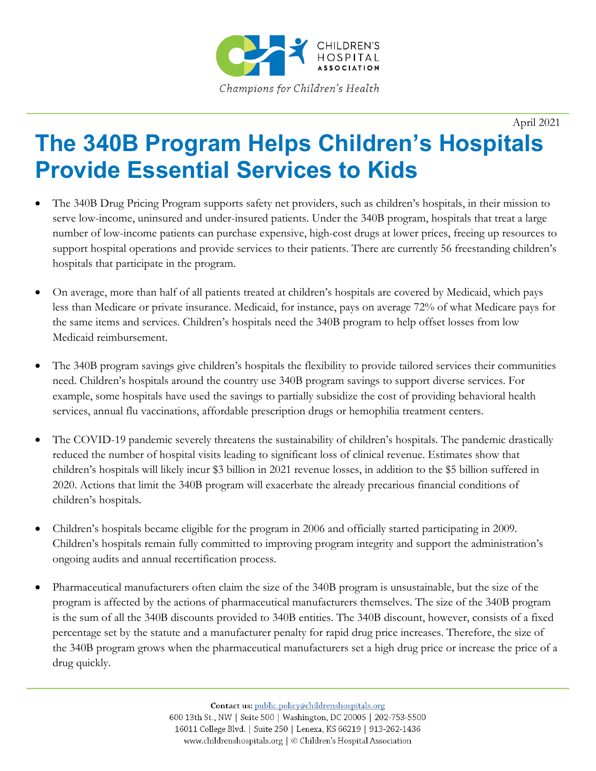

April 2021

## **The 340B Program Helps Children's Hospitals Provide Essential Services to Kids**

- The 340B Drug Pricing Program supports safety net providers, such as children's hospitals, in their mission to serve low-income, uninsured and under-insured patients. Under the 340B program, hospitals that treat a large number of low-income patients can purchase expensive, high-cost drugs at lower prices, freeing up resources to support hospital operations and provide services to their patients. There are currently 56 freestanding children's hospitals that participate in the program.
- On average, more than half of all patients treated at children's hospitals are covered by Medicaid, which pays less than Medicare or private insurance. Medicaid, for instance, pays on average 72% of what Medicare pays for the same items and services. Children's hospitals need the 340B program to help offset losses from low Medicaid reimbursement.
- The 340B program savings give children's hospitals the flexibility to provide tailored services their communities need. Children's hospitals around the country use 340B program savings to support diverse services. For example, some hospitals have used the savings to partially subsidize the cost of providing behavioral health services, annual flu vaccinations, affordable prescription drugs or hemophilia treatment centers.
- The COVID-19 pandemic severely threatens the sustainability of children's hospitals. The pandemic drastically reduced the number of hospital visits leading to significant loss of clinical revenue. Estimates show that children's hospitals will likely incur \$3 billion in 2021 revenue losses, in addition to the \$5 billion suffered in 2020. Actions that limit the 340B program will exacerbate the already precarious financial conditions of children's hospitals.
- Children's hospitals became eligible for the program in 2006 and officially started participating in 2009. Children's hospitals remain fully committed to improving program integrity and support the administration's ongoing audits and annual recertification process.
- Pharmaceutical manufacturers often claim the size of the 340B program is unsustainable, but the size of the program is affected by the actions of pharmaceutical manufacturers themselves. The size of the 340B program is the sum of all the 340B discounts provided to 340B entities. The 340B discount, however, consists of a fixed percentage set by the statute and a manufacturer penalty for rapid drug price increases. Therefore, the size of the 340B program grows when the pharmaceutical manufacturers set a high drug price or increase the price of a drug quickly.